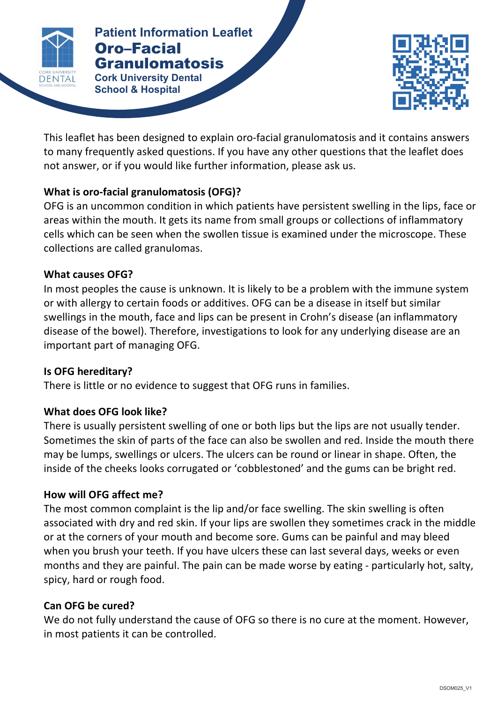

**Patients Patients Patient Information Leaflet** Oro–Facial

**ORO–FACIAL 
GRANULOMATOSIS Cork University Dental School & Hospital**



This leaflet has been designed to explain oro-facial granulomatosis and it contains answers to many frequently asked questions. If you have any other questions that the leaflet does not answer, or if you would like further information, please ask us.

# **What is oro-facial granulomatosis (OFG)?**

OFG is an uncommon condition in which patients have persistent swelling in the lips, face or areas within the mouth. It gets its name from small groups or collections of inflammatory cells which can be seen when the swollen tissue is examined under the microscope. These collections are called granulomas.

# **What causes OFG?**

In most peoples the cause is unknown. It is likely to be a problem with the immune system or with allergy to certain foods or additives. OFG can be a disease in itself but similar swellings in the mouth, face and lips can be present in Crohn's disease (an inflammatory disease of the bowel). Therefore, investigations to look for any underlying disease are an important part of managing OFG.

#### **Is OFG hereditary?**

There is little or no evidence to suggest that OFG runs in families.

# **What does OFG look like?**

There is usually persistent swelling of one or both lips but the lips are not usually tender. Sometimes the skin of parts of the face can also be swollen and red. Inside the mouth there may be lumps, swellings or ulcers. The ulcers can be round or linear in shape. Often, the inside of the cheeks looks corrugated or 'cobblestoned' and the gums can be bright red.

# **How will OFG affect me?**

The most common complaint is the lip and/or face swelling. The skin swelling is often associated with dry and red skin. If your lips are swollen they sometimes crack in the middle or at the corners of your mouth and become sore. Gums can be painful and may bleed when you brush your teeth. If you have ulcers these can last several days, weeks or even months and they are painful. The pain can be made worse by eating - particularly hot, salty, spicy, hard or rough food.

# **Can 
OFG 
be cured?**

We do not fully understand the cause of OFG so there is no cure at the moment. However, in most patients it can be controlled.